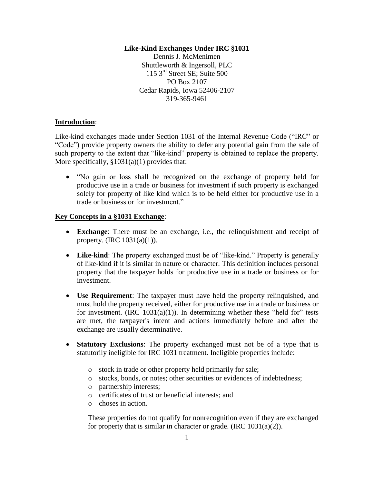### **Like-Kind Exchanges Under IRC §1031**

Dennis J. McMenimen Shuttleworth & Ingersoll, PLC 115 3rd Street SE; Suite 500 PO Box 2107 Cedar Rapids, Iowa 52406-2107 319-365-9461

# **Introduction**:

Like-kind exchanges made under Section 1031 of the Internal Revenue Code ("IRC" or "Code") provide property owners the ability to defer any potential gain from the sale of such property to the extent that "like-kind" property is obtained to replace the property. More specifically, §1031(a)(1) provides that:

 "No gain or loss shall be recognized on the exchange of property held for productive use in a trade or business for investment if such property is exchanged solely for property of like kind which is to be held either for productive use in a trade or business or for investment."

## **Key Concepts in a §1031 Exchange**:

- **Exchange**: There must be an exchange, i.e., the relinquishment and receipt of property. (IRC 1031(a)(1)).
- Like-kind: The property exchanged must be of "like-kind." Property is generally of like-kind if it is similar in nature or character. This definition includes personal property that the taxpayer holds for productive use in a trade or business or for investment.
- **Use Requirement**: The taxpayer must have held the property relinquished, and must hold the property received, either for productive use in a trade or business or for investment. (IRC  $1031(a)(1)$ ). In determining whether these "held for" tests are met, the taxpayer's intent and actions immediately before and after the exchange are usually determinative.
- **Statutory Exclusions**: The property exchanged must not be of a type that is statutorily ineligible for IRC 1031 treatment. Ineligible properties include:
	- o stock in trade or other property held primarily for sale;
	- o stocks, bonds, or notes; other securities or evidences of indebtedness;
	- o partnership interests;
	- o certificates of trust or beneficial interests; and
	- o choses in action.

These properties do not qualify for nonrecognition even if they are exchanged for property that is similar in character or grade.  $(IRC 1031(a)(2))$ .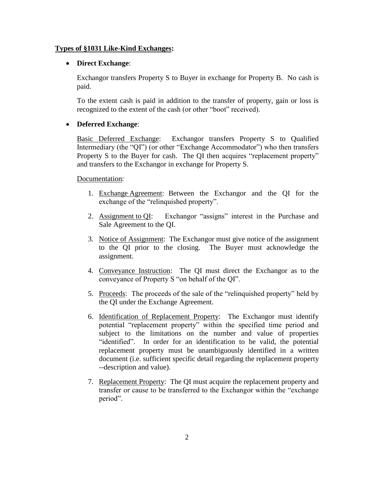### **Types of §1031 Like-Kind Exchanges:**

#### **Direct Exchange**:

Exchangor transfers Property S to Buyer in exchange for Property B. No cash is paid.

To the extent cash is paid in addition to the transfer of property, gain or loss is recognized to the extent of the cash (or other "boot" received).

### **Deferred Exchange**:

Basic Deferred Exchange: Exchangor transfers Property S to Qualified Intermediary (the "QI") (or other "Exchange Accommodator") who then transfers Property S to the Buyer for cash. The QI then acquires "replacement property" and transfers to the Exchangor in exchange for Property S.

### Documentation:

- 1. Exchange Agreement: Between the Exchangor and the QI for the exchange of the "relinquished property".
- 2. Assignment to QI: Exchangor "assigns" interest in the Purchase and Sale Agreement to the QI.
- 3. Notice of Assignment: The Exchangor must give notice of the assignment to the QI prior to the closing. The Buyer must acknowledge the assignment.
- 4. Conveyance Instruction: The QI must direct the Exchangor as to the conveyance of Property S "on behalf of the QI".
- 5. Proceeds: The proceeds of the sale of the "relinquished property" held by the QI under the Exchange Agreement.
- 6. Identification of Replacement Property: The Exchangor must identify potential "replacement property" within the specified time period and subject to the limitations on the number and value of properties "identified". In order for an identification to be valid, the potential replacement property must be unambiguously identified in a written document (i.e. sufficient specific detail regarding the replacement property --description and value).
- 7. Replacement Property: The QI must acquire the replacement property and transfer or cause to be transferred to the Exchangor within the "exchange period".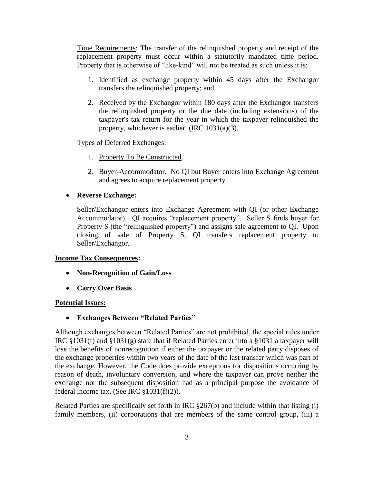Time Requirements: The transfer of the relinquished property and receipt of the replacement property must occur within a statutorily mandated time period. Property that is otherwise of "like-kind" will not be treated as such unless it is:

- 1. Identified as exchange property within 45 days after the Exchangor transfers the relinquished property; and
- 2. Received by the Exchangor within 180 days after the Exchangor transfers the relinquished property or the due date (including extensions) of the taxpayer's tax return for the year in which the taxpayer relinquished the property, whichever is earlier. (IRC 1031(a)(3).

## Types of Deferred Exchanges:

- 1. Property To Be Constructed.
- 2. Buyer-Accommodator. No QI but Buyer enters into Exchange Agreement and agrees to acquire replacement property.

# **Reverse Exchange:**

Seller/Exchangor enters into Exchange Agreement with QI (or other Exchange Accommodator). QI acquires "replacement property". Seller S finds buyer for Property S (the "relinquished property") and assigns sale agreement to QI. Upon closing of sale of Property S, QI transfers replacement property to Seller/Exchangor.

# **Income Tax Consequences:**

- **Non-Recognition of Gain/Loss**
- **Carry Over Basis**

# **Potential Issues:**

**Exchanges Between "Related Parties"**

Although exchanges between "Related Parties" are not prohibited, the special rules under IRC §1031(f) and §1031(g) state that if Related Parties enter into a §1031 a taxpayer will lose the benefits of nonrecognition if either the taxpayer or the related party disposes of the exchange properties within two years of the date of the last transfer which was part of the exchange. However, the Code does provide exceptions for dispositions occurring by reason of death, involuntary conversion, and where the taxpayer can prove neither the exchange nor the subsequent disposition had as a principal purpose the avoidance of federal income tax. (See IRC  $$1031(f)(2)$ ).

Related Parties are specifically set forth in IRC §267(b) and include within that listing (i) family members, (ii) corporations that are members of the same control group, (iii) a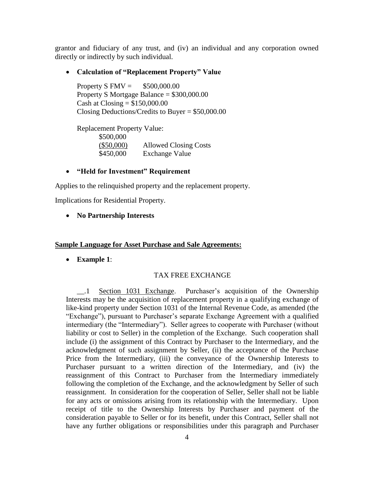grantor and fiduciary of any trust, and (iv) an individual and any corporation owned directly or indirectly by such individual.

### **Calculation of "Replacement Property" Value**

Property S  $FMV = $500,000.00$ Property S Mortgage Balance = \$300,000.00 Cash at  $\text{Closing} = $150,000.00$ Closing Deductions/Credits to Buyer = \$50,000.00

Replacement Property Value: \$500,000 (\$50,000) Allowed Closing Costs \$450,000 Exchange Value

# **"Held for Investment" Requirement**

Applies to the relinquished property and the replacement property.

Implications for Residential Property.

### **No Partnership Interests**

#### **Sample Language for Asset Purchase and Sale Agreements:**

**Example 1**:

### TAX FREE EXCHANGE

\_\_.1 Section 1031 Exchange. Purchaser's acquisition of the Ownership Interests may be the acquisition of replacement property in a qualifying exchange of like-kind property under Section 1031 of the Internal Revenue Code, as amended (the "Exchange"), pursuant to Purchaser's separate Exchange Agreement with a qualified intermediary (the "Intermediary"). Seller agrees to cooperate with Purchaser (without liability or cost to Seller) in the completion of the Exchange. Such cooperation shall include (i) the assignment of this Contract by Purchaser to the Intermediary, and the acknowledgment of such assignment by Seller, (ii) the acceptance of the Purchase Price from the Intermediary, (iii) the conveyance of the Ownership Interests to Purchaser pursuant to a written direction of the Intermediary, and (iv) the reassignment of this Contract to Purchaser from the Intermediary immediately following the completion of the Exchange, and the acknowledgment by Seller of such reassignment. In consideration for the cooperation of Seller, Seller shall not be liable for any acts or omissions arising from its relationship with the Intermediary. Upon receipt of title to the Ownership Interests by Purchaser and payment of the consideration payable to Seller or for its benefit, under this Contract, Seller shall not have any further obligations or responsibilities under this paragraph and Purchaser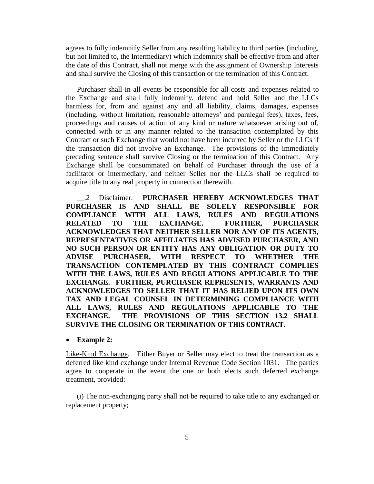agrees to fully indemnify Seller from any resulting liability to third parties (including, but not limited to, the Intermediary) which indemnity shall be effective from and after the date of this Contract, shall not merge with the assignment of Ownership Interests and shall survive the Closing of this transaction or the termination of this Contract.

Purchaser shall in all events be responsible for all costs and expenses related to the Exchange and shall fully indemnify, defend and hold Seller and the LLCs harmless for, from and against any and all liability, claims, damages, expenses (including, without limitation, reasonable attorneys' and paralegal fees), taxes, fees, proceedings and causes of action of any kind or nature whatsoever arising out of, connected with or in any manner related to the transaction contemplated by this Contract or such Exchange that would not have been incurred by Seller or the LLCs if the transaction did not involve an Exchange. The provisions of the immediately preceding sentence shall survive Closing or the termination of this Contract. Any Exchange shall be consummated on behalf of Purchaser through the use of a facilitator or intermediary, and neither Seller nor the LLCs shall be required to acquire title to any real property in connection therewith.

\_\_.2 Disclaimer. **PURCHASER HEREBY ACKNOWLEDGES THAT PURCHASER IS AND SHALL BE SOLELY RESPONSIBLE FOR COMPLIANCE WITH ALL LAWS, RULES AND REGULATIONS RELATED TO THE EXCHANGE. FURTHER, PURCHASER ACKNOWLEDGES THAT NEITHER SELLER NOR ANY OF ITS AGENTS, REPRESENTATIVES OR AFFILIATES HAS ADVISED PURCHASER, AND NO SUCH PERSON OR ENTITY HAS ANY OBLIGATION OR DUTY TO ADVISE PURCHASER, WITH RESPECT TO WHETHER THE TRANSACTION CONTEMPLATED BY THIS CONTRACT COMPLIES WITH THE LAWS, RULES AND REGULATIONS APPLICABLE TO THE EXCHANGE. FURTHER, PURCHASER REPRESENTS, WARRANTS AND ACKNOWLEDGES TO SELLER THAT IT HAS RELIED UPON ITS OWN TAX AND LEGAL COUNSEL IN DETERMINING COMPLIANCE WITH ALL LAWS, RULES AND REGULATIONS APPLICABLE TO THE EXCHANGE. THE PROVISIONS OF THIS SECTION 13.2 SHALL SURVIVE THE CLOSING OR TERMINATION OF THIS CONTRACT.**

**Example 2:**

Like-Kind Exchange. Either Buyer or Seller may elect to treat the transaction as a deferred like kind exchange under Internal Revenue Code Section 1031. The parties agree to cooperate in the event the one or both elects such deferred exchange treatment, provided:

(i) The non-exchanging party shall not be required to take title to any exchanged or replacement property;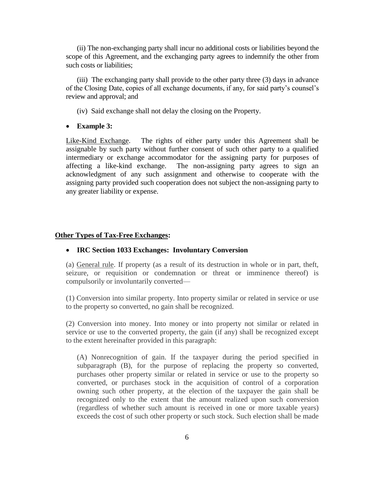(ii) The non-exchanging party shall incur no additional costs or liabilities beyond the scope of this Agreement, and the exchanging party agrees to indemnify the other from such costs or liabilities;

(iii) The exchanging party shall provide to the other party three (3) days in advance of the Closing Date, copies of all exchange documents, if any, for said party's counsel's review and approval; and

(iv) Said exchange shall not delay the closing on the Property.

### **Example 3:**

Like-Kind Exchange. The rights of either party under this Agreement shall be assignable by such party without further consent of such other party to a qualified intermediary or exchange accommodator for the assigning party for purposes of affecting a like-kind exchange. The non-assigning party agrees to sign an acknowledgment of any such assignment and otherwise to cooperate with the assigning party provided such cooperation does not subject the non-assigning party to any greater liability or expense.

### **Other Types of Tax-Free Exchanges:**

#### **IRC Section 1033 Exchanges: Involuntary Conversion**

(a) General rule. If property (as a result of its destruction in whole or in part, theft, seizure, or requisition or condemnation or threat or imminence thereof) is compulsorily or involuntarily converted—

(1) Conversion into similar property. Into property similar or related in service or use to the property so converted, no gain shall be recognized.

(2) Conversion into money. Into money or into property not similar or related in service or use to the converted property, the gain (if any) shall be recognized except to the extent hereinafter provided in this paragraph:

(A) Nonrecognition of gain. If the taxpayer during the period specified in subparagraph (B), for the purpose of replacing the property so converted, purchases other property similar or related in service or use to the property so converted, or purchases stock in the acquisition of control of a corporation owning such other property, at the election of the taxpayer the gain shall be recognized only to the extent that the amount realized upon such conversion (regardless of whether such amount is received in one or more taxable years) exceeds the cost of such other property or such stock. Such election shall be made